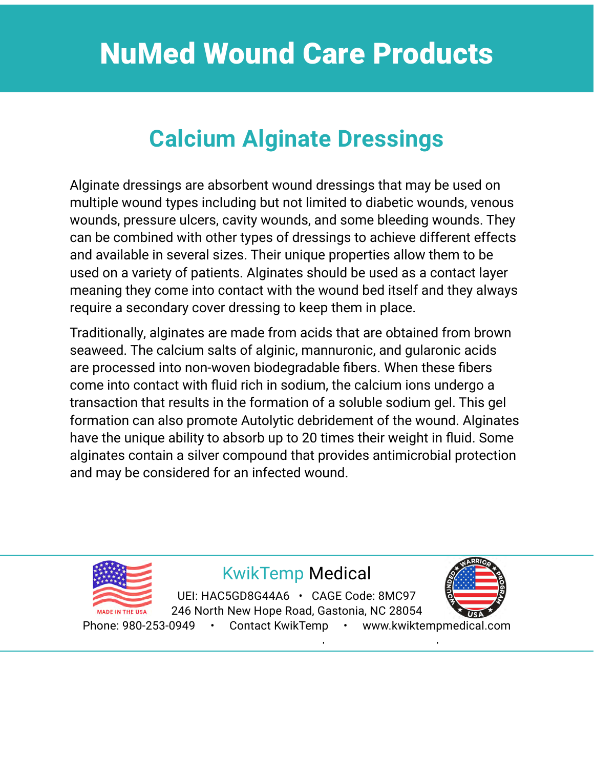## **Calcium Alginate Dressings**

Alginate dressings are absorbent wound dressings that may be used on multiple wound types including but not limited to diabetic wounds, venous wounds, pressure ulcers, cavity wounds, and some bleeding wounds. They can be combined with other types of dressings to achieve different effects and available in several sizes. Their unique properties allow them to be used on a variety of patients. Alginates should be used as a contact layer meaning they come into contact with the wound bed itself and they always require a secondary cover dressing to keep them in place.

Traditionally, alginates are made from acids that are obtained from brown seaweed. The calcium salts of alginic, mannuronic, and gularonic acids are processed into non-woven biodegradable fibers. When these fibers come into contact with fluid rich in sodium, the calcium ions undergo a transaction that results in the formation of a soluble sodium gel. This gel formation can also promote Autolytic debridement of the wound. Alginates have the unique ability to absorb up to 20 times their weight in fluid. Some alginates contain a silver compound that provides antimicrobial protection and may be considered for an infected wound.



#### KwikTemp Medical

KwikTemp Medical UEI: HAC5GD8G44A6 • CAGE Code: 8MC97 246 North New Hope Road, Gastonia, NC 28054

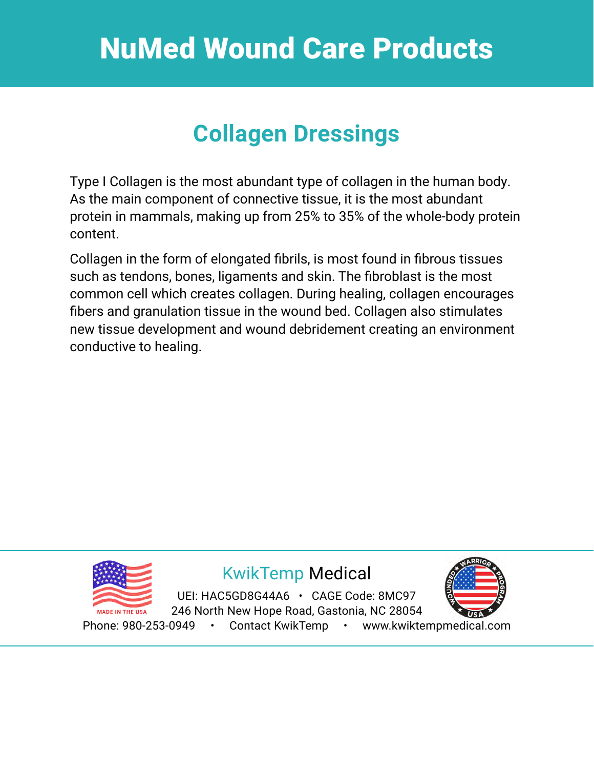## **Collagen Dressings**

Type I Collagen is the most abundant type of collagen in the human body. As the main component of connective tissue, it is the most abundant protein in mammals, making up from 25% to 35% of the whole-body protein content.

Collagen in the form of elongated fibrils, is most found in fibrous tissues such as tendons, bones, ligaments and skin. The fibroblast is the most common cell which creates collagen. During healing, collagen encourages fibers and granulation tissue in the wound bed. Collagen also stimulates new tissue development and wound debridement creating an environment conductive to healing.

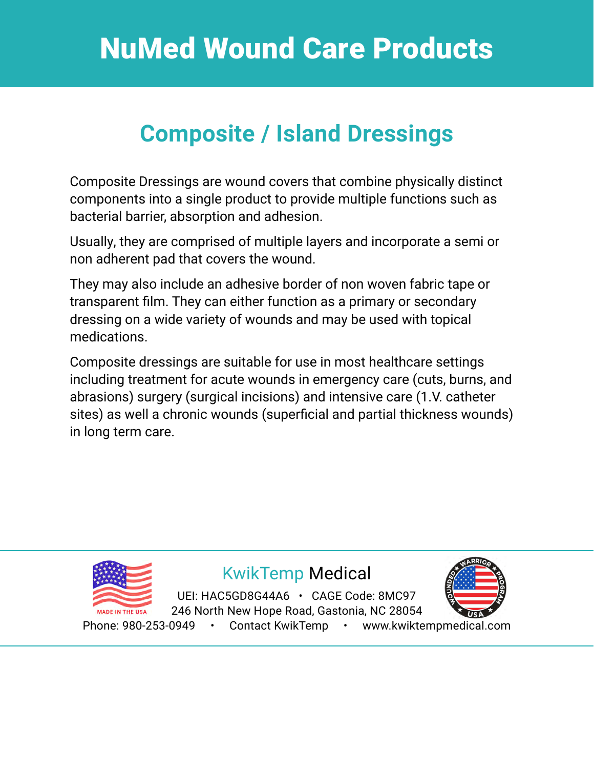## **Composite / Island Dressings**

Composite Dressings are wound covers that combine physically distinct components into a single product to provide multiple functions such as bacterial barrier, absorption and adhesion.

Usually, they are comprised of multiple layers and incorporate a semi or non adherent pad that covers the wound.

They may also include an adhesive border of non woven fabric tape or transparent film. They can either function as a primary or secondary dressing on a wide variety of wounds and may be used with topical medications.

Composite dressings are suitable for use in most healthcare settings including treatment for acute wounds in emergency care (cuts, burns, and abrasions) surgery (surgical incisions) and intensive care (1.V. catheter sites) as well a chronic wounds (superficial and partial thickness wounds) in long term care.

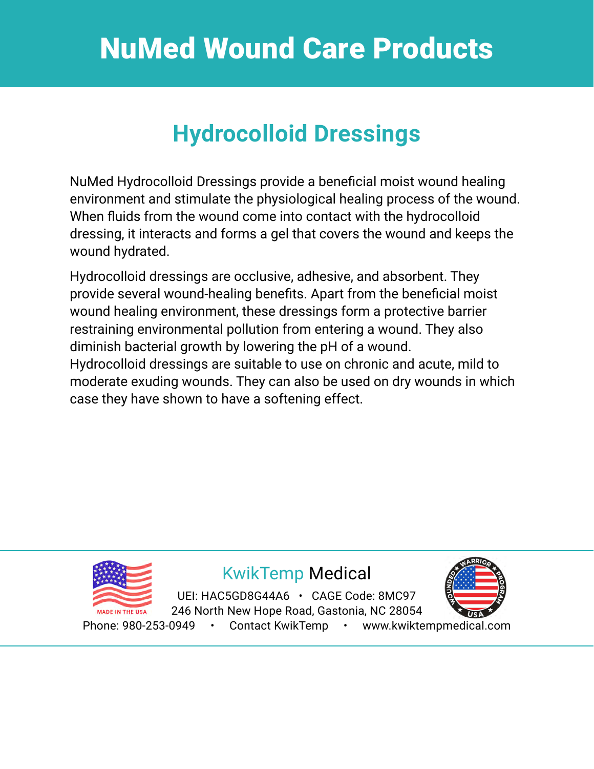## **Hydrocolloid Dressings**

NuMed Hydrocolloid Dressings provide a beneficial moist wound healing environment and stimulate the physiological healing process of the wound. When fluids from the wound come into contact with the hydrocolloid dressing, it interacts and forms a gel that covers the wound and keeps the wound hydrated.

Hydrocolloid dressings are occlusive, adhesive, and absorbent. They provide several wound-healing benefits. Apart from the beneficial moist wound healing environment, these dressings form a protective barrier restraining environmental pollution from entering a wound. They also diminish bacterial growth by lowering the pH of a wound. Hydrocolloid dressings are suitable to use on chronic and acute, mild to moderate exuding wounds. They can also be used on dry wounds in which case they have shown to have a softening effect.



#### KwikTemp Medical KwikTemp Medical

DENTIAUSODUOHANU – UAUL OUUC. 0MO97 2920 North Tryon Street, Charlotte, NC 28206 246 North New Hope Road, Gastonia, NC 28054 UEI: HAC5GD8G44A6 · CAGE Code: 8MC97



Phone: 980-253-0949 • Contact KwikTemp • www.kwiktempmedical.com Phone: 980-253-0949 • [Contact KwikTemp](https://www.kwiktempmedical.com/contact) • [www.kwiktempmedical.com](https://www.kwiktempmedical.com)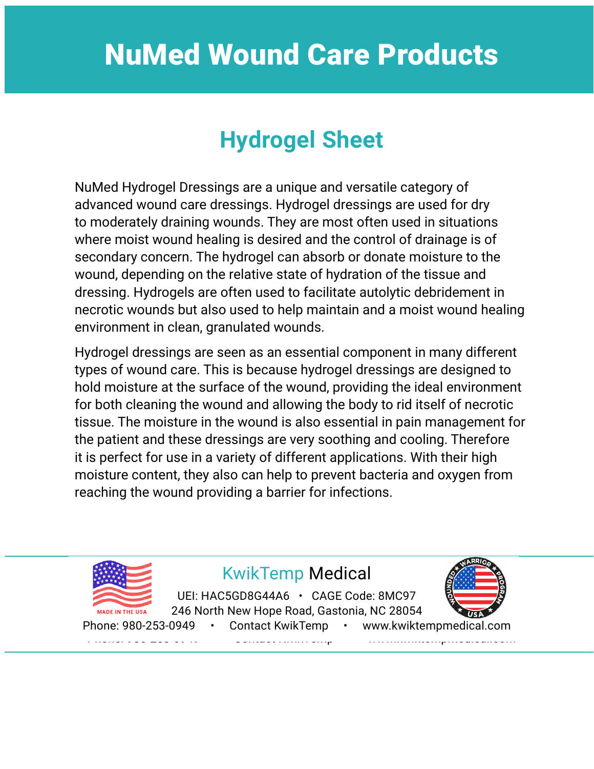## **Hydrogel Sheet**

NuMed Hydrogel Dressings are a unique and versatile category of advanced wound care dressings. Hydrogel dressings are used for dry to moderately draining wounds. They are most often used in situations where moist wound healing is desired and the control of drainage is of secondary concern. The hydrogel can absorb or donate moisture to the wound, depending on the relative state of hydration of the tissue and dressing. Hydrogels are often used to facilitate autolytic debridement in necrotic wounds but also used to help maintain and a moist wound healing environment in clean, granulated wounds.

Hydrogel dressings are seen as an essential component in many different types of wound care. This is because hydrogel dressings are designed to hold moisture at the surface of the wound, providing the ideal environment for both cleaning the wound and allowing the body to rid itself of necrotic tissue. The moisture in the wound is also essential in pain management for the patient and these dressings are very soothing and cooling. Therefore it is perfect for use in a variety of different applications. With their high moisture content, they also can help to prevent bacteria and oxygen from reaching the wound providing a barrier for infections.

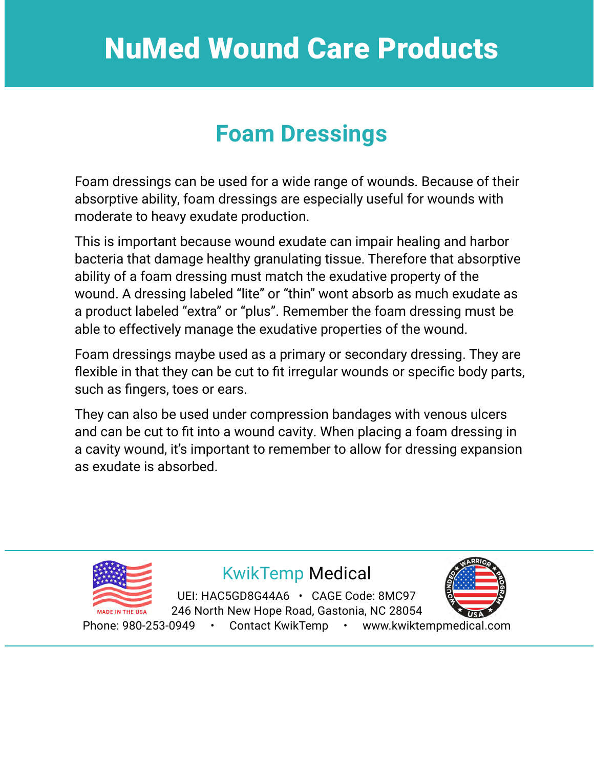#### **Foam Dressings**

Foam dressings can be used for a wide range of wounds. Because of their absorptive ability, foam dressings are especially useful for wounds with moderate to heavy exudate production.

This is important because wound exudate can impair healing and harbor bacteria that damage healthy granulating tissue. Therefore that absorptive ability of a foam dressing must match the exudative property of the wound. A dressing labeled "lite" or "thin" wont absorb as much exudate as a product labeled "extra" or "plus". Remember the foam dressing must be able to effectively manage the exudative properties of the wound.

Foam dressings maybe used as a primary or secondary dressing. They are flexible in that they can be cut to fit irregular wounds or specific body parts, such as fingers, toes or ears.

They can also be used under compression bandages with venous ulcers and can be cut to fit into a wound cavity. When placing a foam dressing in a cavity wound, it's important to remember to allow for dressing expansion as exudate is absorbed.

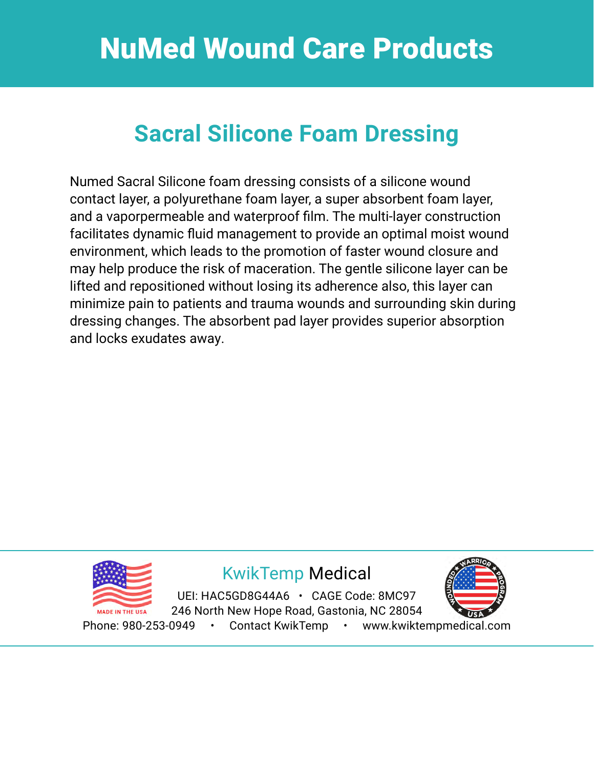## **Sacral Silicone Foam Dressing**

Numed Sacral Silicone foam dressing consists of a silicone wound contact layer, a polyurethane foam layer, a super absorbent foam layer, and a vaporpermeable and waterproof film. The multi-layer construction facilitates dynamic fluid management to provide an optimal moist wound environment, which leads to the promotion of faster wound closure and may help produce the risk of maceration. The gentle silicone layer can be lifted and repositioned without losing its adherence also, this layer can minimize pain to patients and trauma wounds and surrounding skin during dressing changes. The absorbent pad layer provides superior absorption and locks exudates away.



#### KwikTemp Medical KwikTemp Medical

DENTIAUSODUOHANU – UAUL OUUC. 0MO97 2920 North Tryon Street, Charlotte, NC 28206 246 North New Hope Road, Gastonia, NC 28054 UEI: HAC5GD8G44A6 · CAGE Code: 8MC97



Phone: 980-253-0949 • Contact KwikTemp • www.kwiktempmedical.com Phone: 980-253-0949 • [Contact KwikTemp](https://www.kwiktempmedical.com/contact) • [www.kwiktempmedical.com](https://www.kwiktempmedical.com)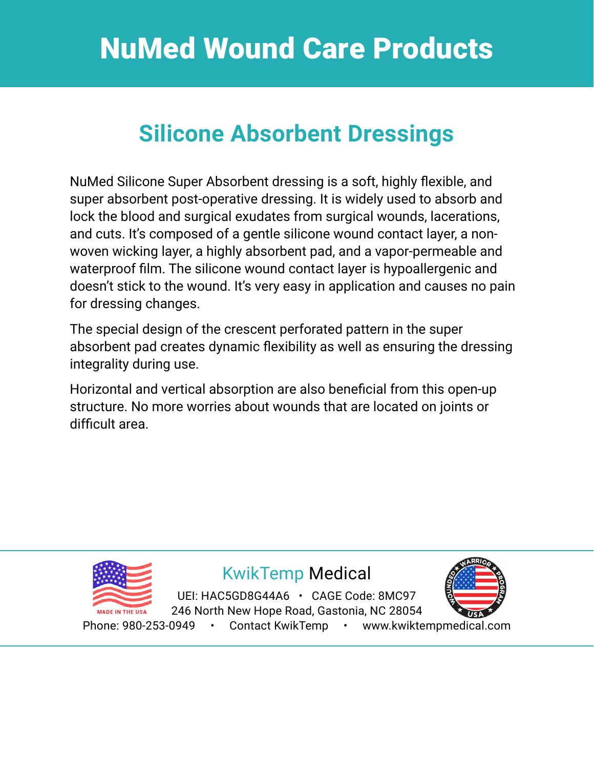### **Silicone Absorbent Dressings**

NuMed Silicone Super Absorbent dressing is a soft, highly flexible, and super absorbent post-operative dressing. It is widely used to absorb and lock the blood and surgical exudates from surgical wounds, lacerations, and cuts. It's composed of a gentle silicone wound contact layer, a nonwoven wicking layer, a highly absorbent pad, and a vapor-permeable and waterproof film. The silicone wound contact layer is hypoallergenic and doesn't stick to the wound. It's very easy in application and causes no pain for dressing changes.

The special design of the crescent perforated pattern in the super absorbent pad creates dynamic flexibility as well as ensuring the dressing integrality during use.

Horizontal and vertical absorption are also beneficial from this open-up structure. No more worries about wounds that are located on joints or difficult area.